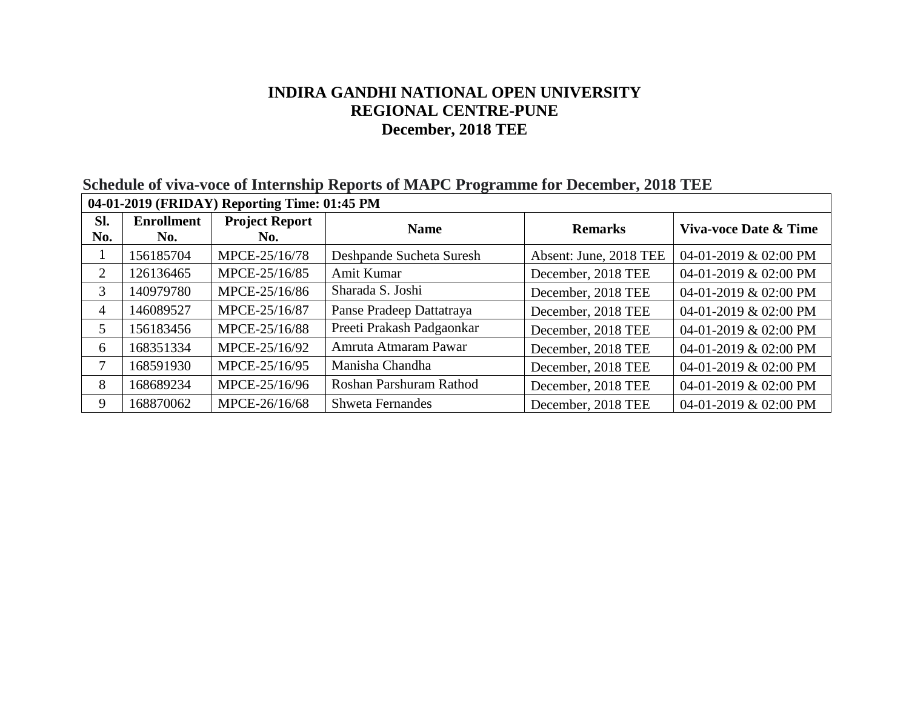## **Schedule of viva-voce of Internship Reports of MAPC Programme for December, 2018 TEE**

| 04-01-2019 (FRIDAY) Reporting Time: 01:45 PM |                          |                              |                           |                        |                       |
|----------------------------------------------|--------------------------|------------------------------|---------------------------|------------------------|-----------------------|
| SI.<br>No.                                   | <b>Enrollment</b><br>No. | <b>Project Report</b><br>No. | <b>Name</b>               | <b>Remarks</b>         | Viva-voce Date & Time |
|                                              | 156185704                | MPCE-25/16/78                | Deshpande Sucheta Suresh  | Absent: June, 2018 TEE | 04-01-2019 & 02:00 PM |
| 2                                            | 126136465                | MPCE-25/16/85                | Amit Kumar                | December, 2018 TEE     | 04-01-2019 & 02:00 PM |
| 3                                            | 140979780                | MPCE-25/16/86                | Sharada S. Joshi          | December, 2018 TEE     | 04-01-2019 & 02:00 PM |
| 4                                            | 146089527                | MPCE-25/16/87                | Panse Pradeep Dattatraya  | December, 2018 TEE     | 04-01-2019 & 02:00 PM |
| 5                                            | 156183456                | MPCE-25/16/88                | Preeti Prakash Padgaonkar | December, 2018 TEE     | 04-01-2019 & 02:00 PM |
| 6                                            | 168351334                | MPCE-25/16/92                | Amruta Atmaram Pawar      | December, 2018 TEE     | 04-01-2019 & 02:00 PM |
| 7                                            | 168591930                | MPCE-25/16/95                | Manisha Chandha           | December, 2018 TEE     | 04-01-2019 & 02:00 PM |
| 8                                            | 168689234                | MPCE-25/16/96                | Roshan Parshuram Rathod   | December, 2018 TEE     | 04-01-2019 & 02:00 PM |
| 9                                            | 168870062                | MPCE-26/16/68                | <b>Shweta Fernandes</b>   | December, 2018 TEE     | 04-01-2019 & 02:00 PM |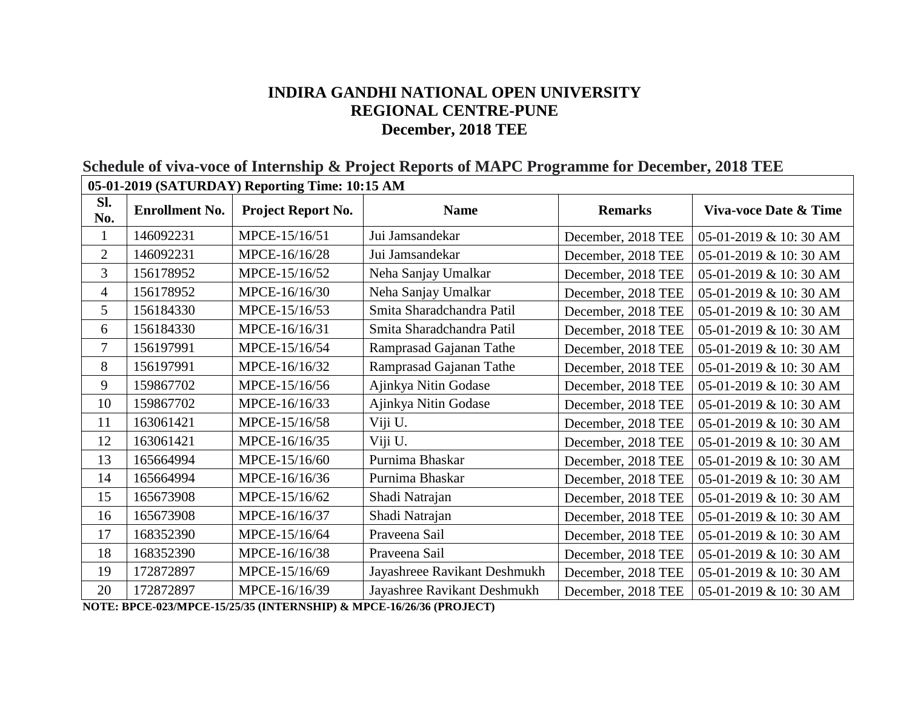| 03-01-2019 (SATURDAT) Reporting Thine: 10:15 AM |                       |                    |                              |                    |                        |  |
|-------------------------------------------------|-----------------------|--------------------|------------------------------|--------------------|------------------------|--|
| SI.<br>No.                                      | <b>Enrollment No.</b> | Project Report No. | <b>Name</b>                  | <b>Remarks</b>     | Viva-voce Date & Time  |  |
|                                                 | 146092231             | MPCE-15/16/51      | Jui Jamsandekar              | December, 2018 TEE | 05-01-2019 & 10: 30 AM |  |
| $\overline{2}$                                  | 146092231             | MPCE-16/16/28      | Jui Jamsandekar              | December, 2018 TEE | 05-01-2019 & 10: 30 AM |  |
| 3                                               | 156178952             | MPCE-15/16/52      | Neha Sanjay Umalkar          | December, 2018 TEE | 05-01-2019 & 10:30 AM  |  |
| $\overline{4}$                                  | 156178952             | MPCE-16/16/30      | Neha Sanjay Umalkar          | December, 2018 TEE | 05-01-2019 & 10: 30 AM |  |
| 5                                               | 156184330             | MPCE-15/16/53      | Smita Sharadchandra Patil    | December, 2018 TEE | 05-01-2019 & 10: 30 AM |  |
| 6                                               | 156184330             | MPCE-16/16/31      | Smita Sharadchandra Patil    | December, 2018 TEE | 05-01-2019 & 10:30 AM  |  |
| 7                                               | 156197991             | MPCE-15/16/54      | Ramprasad Gajanan Tathe      | December, 2018 TEE | 05-01-2019 & 10: 30 AM |  |
| 8                                               | 156197991             | MPCE-16/16/32      | Ramprasad Gajanan Tathe      | December, 2018 TEE | 05-01-2019 & 10:30 AM  |  |
| 9                                               | 159867702             | MPCE-15/16/56      | Ajinkya Nitin Godase         | December, 2018 TEE | 05-01-2019 & 10: 30 AM |  |
| 10                                              | 159867702             | MPCE-16/16/33      | Ajinkya Nitin Godase         | December, 2018 TEE | 05-01-2019 & 10: 30 AM |  |
| 11                                              | 163061421             | MPCE-15/16/58      | Viji U.                      | December, 2018 TEE | 05-01-2019 & 10: 30 AM |  |
| 12                                              | 163061421             | MPCE-16/16/35      | Viji U.                      | December, 2018 TEE | 05-01-2019 & 10:30 AM  |  |
| 13                                              | 165664994             | MPCE-15/16/60      | Purnima Bhaskar              | December, 2018 TEE | 05-01-2019 & 10: 30 AM |  |
| 14                                              | 165664994             | MPCE-16/16/36      | Purnima Bhaskar              | December, 2018 TEE | 05-01-2019 & 10:30 AM  |  |
| 15                                              | 165673908             | MPCE-15/16/62      | Shadi Natrajan               | December, 2018 TEE | 05-01-2019 & 10: 30 AM |  |
| 16                                              | 165673908             | MPCE-16/16/37      | Shadi Natrajan               | December, 2018 TEE | 05-01-2019 & 10:30 AM  |  |
| 17                                              | 168352390             | MPCE-15/16/64      | Praveena Sail                | December, 2018 TEE | 05-01-2019 & 10: 30 AM |  |
| 18                                              | 168352390             | MPCE-16/16/38      | Praveena Sail                | December, 2018 TEE | 05-01-2019 & 10: 30 AM |  |
| 19                                              | 172872897             | MPCE-15/16/69      | Jayashreee Ravikant Deshmukh | December, 2018 TEE | 05-01-2019 & 10: 30 AM |  |
| 20                                              | 172872897             | MPCE-16/16/39      | Jayashree Ravikant Deshmukh  | December, 2018 TEE | 05-01-2019 & 10:30 AM  |  |

**Schedule of viva-voce of Internship & Project Reports of MAPC Programme for December, 2018 TEE 05-01-2019 (SATURDAY) Reporting Time: 10:15 AM**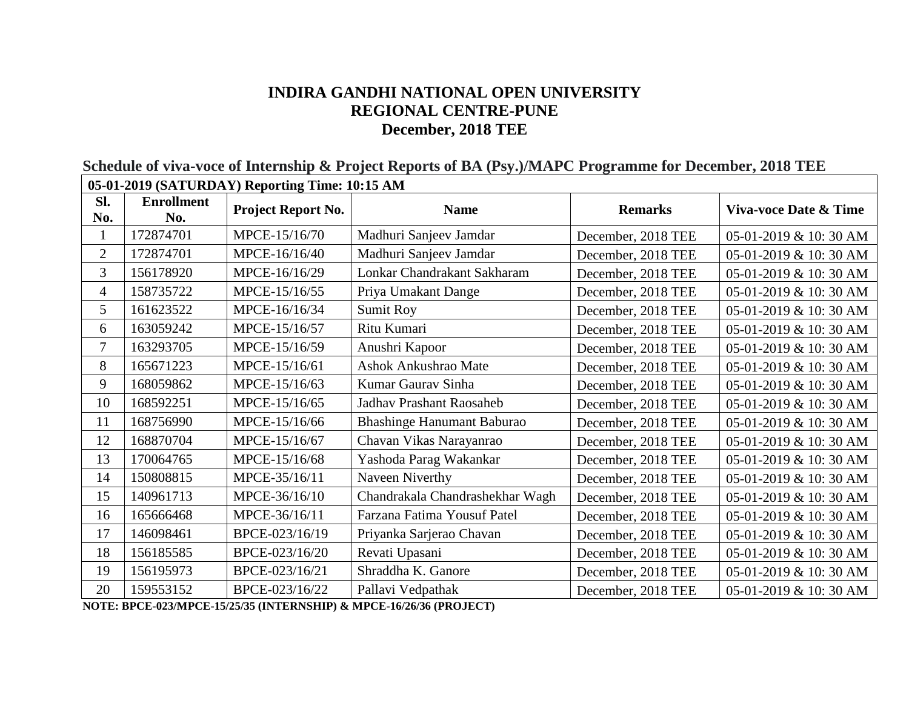| 05-01-2019 (SATURDAY) Reporting Time: 10:15 AM |                          |                    |                                   |                    |                        |
|------------------------------------------------|--------------------------|--------------------|-----------------------------------|--------------------|------------------------|
| Sl.<br>No.                                     | <b>Enrollment</b><br>No. | Project Report No. | <b>Name</b>                       | <b>Remarks</b>     | Viva-voce Date & Time  |
|                                                | 172874701                | MPCE-15/16/70      | Madhuri Sanjeev Jamdar            | December, 2018 TEE | 05-01-2019 & 10: 30 AM |
| $\overline{2}$                                 | 172874701                | MPCE-16/16/40      | Madhuri Sanjeev Jamdar            | December, 2018 TEE | 05-01-2019 & 10:30 AM  |
| $\overline{3}$                                 | 156178920                | MPCE-16/16/29      | Lonkar Chandrakant Sakharam       | December, 2018 TEE | 05-01-2019 & 10: 30 AM |
| 4                                              | 158735722                | MPCE-15/16/55      | Priya Umakant Dange               | December, 2018 TEE | 05-01-2019 & 10: 30 AM |
| 5                                              | 161623522                | MPCE-16/16/34      | Sumit Roy                         | December, 2018 TEE | 05-01-2019 & 10: 30 AM |
| 6                                              | 163059242                | MPCE-15/16/57      | Ritu Kumari                       | December, 2018 TEE | 05-01-2019 & 10: 30 AM |
| $\overline{7}$                                 | 163293705                | MPCE-15/16/59      | Anushri Kapoor                    | December, 2018 TEE | 05-01-2019 & 10: 30 AM |
| 8                                              | 165671223                | MPCE-15/16/61      | Ashok Ankushrao Mate              | December, 2018 TEE | 05-01-2019 & 10: 30 AM |
| 9                                              | 168059862                | MPCE-15/16/63      | Kumar Gaurav Sinha                | December, 2018 TEE | 05-01-2019 & 10: 30 AM |
| 10                                             | 168592251                | MPCE-15/16/65      | <b>Jadhav Prashant Raosaheb</b>   | December, 2018 TEE | 05-01-2019 & 10: 30 AM |
| 11                                             | 168756990                | MPCE-15/16/66      | <b>Bhashinge Hanumant Baburao</b> | December, 2018 TEE | 05-01-2019 & 10: 30 AM |
| 12                                             | 168870704                | MPCE-15/16/67      | Chavan Vikas Narayanrao           | December, 2018 TEE | 05-01-2019 & 10: 30 AM |
| 13                                             | 170064765                | MPCE-15/16/68      | Yashoda Parag Wakankar            | December, 2018 TEE | 05-01-2019 & 10: 30 AM |
| 14                                             | 150808815                | MPCE-35/16/11      | Naveen Niverthy                   | December, 2018 TEE | 05-01-2019 & 10: 30 AM |
| 15                                             | 140961713                | MPCE-36/16/10      | Chandrakala Chandrashekhar Wagh   | December, 2018 TEE | 05-01-2019 & 10: 30 AM |
| 16                                             | 165666468                | MPCE-36/16/11      | Farzana Fatima Yousuf Patel       | December, 2018 TEE | 05-01-2019 & 10: 30 AM |
| 17                                             | 146098461                | BPCE-023/16/19     | Priyanka Sarjerao Chavan          | December, 2018 TEE | 05-01-2019 & 10: 30 AM |
| 18                                             | 156185585                | BPCE-023/16/20     | Revati Upasani                    | December, 2018 TEE | 05-01-2019 & 10: 30 AM |
| 19                                             | 156195973                | BPCE-023/16/21     | Shraddha K. Ganore                | December, 2018 TEE | 05-01-2019 & 10: 30 AM |
| 20                                             | 159553152                | BPCE-023/16/22     | Pallavi Vedpathak                 | December, 2018 TEE | 05-01-2019 & 10: 30 AM |

**Schedule of viva-voce of Internship & Project Reports of BA (Psy.)/MAPC Programme for December, 2018 TEE**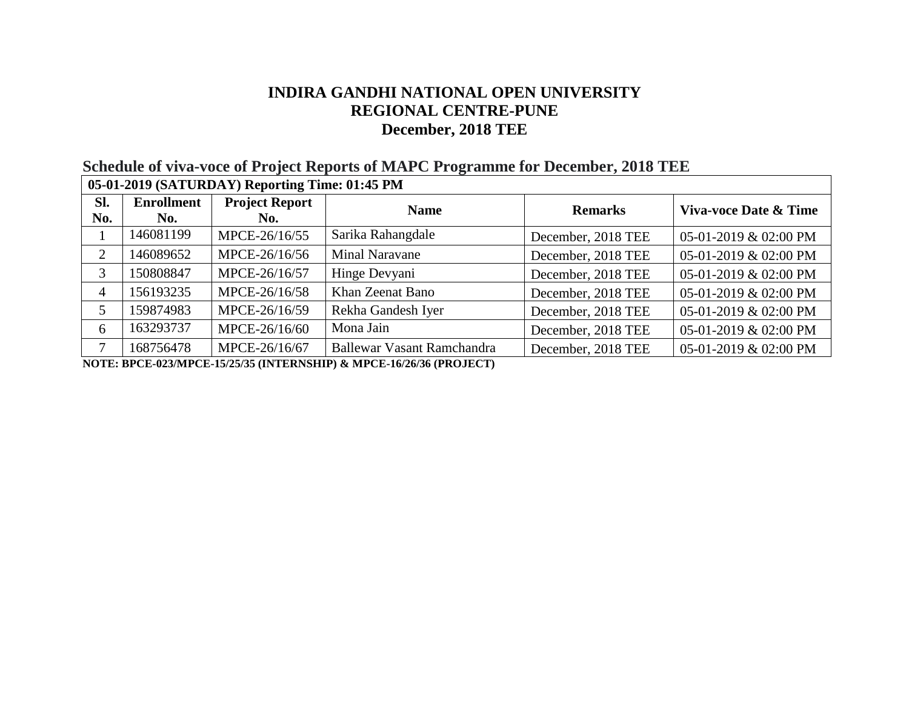# **Schedule of viva-voce of Project Reports of MAPC Programme for December, 2018 TEE**

| 05-01-2019 (SATURDAY) Reporting Time: 01:45 PM |                          |                              |                                   |                    |                       |
|------------------------------------------------|--------------------------|------------------------------|-----------------------------------|--------------------|-----------------------|
| SI.<br>No.                                     | <b>Enrollment</b><br>No. | <b>Project Report</b><br>No. | <b>Name</b>                       | <b>Remarks</b>     | Viva-voce Date & Time |
|                                                | 146081199                | MPCE-26/16/55                | Sarika Rahangdale                 | December, 2018 TEE | 05-01-2019 & 02:00 PM |
| 2                                              | 146089652                | MPCE-26/16/56                | <b>Minal Naravane</b>             | December, 2018 TEE | 05-01-2019 & 02:00 PM |
| 3                                              | 150808847                | MPCE-26/16/57                | Hinge Devyani                     | December, 2018 TEE | 05-01-2019 & 02:00 PM |
| 4                                              | 156193235                | MPCE-26/16/58                | Khan Zeenat Bano                  | December, 2018 TEE | 05-01-2019 & 02:00 PM |
| 5                                              | 159874983                | MPCE-26/16/59                | Rekha Gandesh Iyer                | December, 2018 TEE | 05-01-2019 & 02:00 PM |
| 6                                              | 163293737                | MPCE-26/16/60                | Mona Jain                         | December, 2018 TEE | 05-01-2019 & 02:00 PM |
|                                                | 168756478                | MPCE-26/16/67                | <b>Ballewar Vasant Ramchandra</b> | December, 2018 TEE | 05-01-2019 & 02:00 PM |